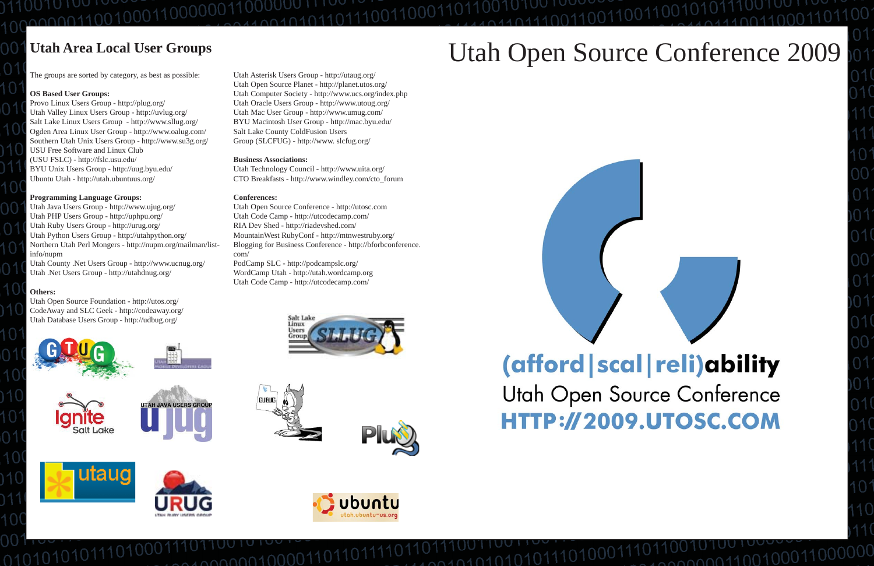# Utah Open Source Conference 2009



101010101



# (afford | scal | reli) ability Utah Open Source Conference HTTP://2009.UTOSC.COM

 $00000011001000$ 

The groups are sorted by category, as best as possible:

#### **OS Based User Groups:**

Provo Linux Users Group - http://plug.org/ Utah Valley Linux Users Group - http://uvlug.org/ Salt Lake Linux Users Group - http://www.sllug.org/ Ogden Area Linux User Group - http://www.oalug.com/ Southern Utah Unix Users Group - http://www.su3g.org/ USU Free Software and Linux Club(USU FSLC) - http://fslc.usu.edu/ BYU Unix Users Group - http://uug.byu.edu/ Ubuntu Utah - http://utah.ubuntuus.org/

#### **Programming Language Groups:**

Utah Java Users Group - http://www.ujug.org/ Utah PHP Users Group - http://uphpu.org/ Utah Ruby Users Group - http://urug.org/ Utah Python Users Group - http://utahpython.org/ Northern Utah Perl Mongers - http://nupm.org/mailman/listinfo/nupm Utah County .Net Users Group - http://www.ucnug.org/

Utah .Net Users Group - http://utahdnug.org/

#### **Others:**

Utah Open Source Foundation - http://utos.org/ CodeAway and SLC Geek - http://codeaway.org/ Utah Database Users Group - http://udbug.org/

Utah Asterisk Users Group - http://utaug.org/ Utah Open Source Planet - http://planet.utos.org/ Utah Computer Society - http://www.ucs.org/index.php Utah Oracle Users Group - http://www.utoug.org/ Utah Mac User Group - http://www.umug.com/ BYU Macintosh User Group - http://mac.byu.edu/ Salt Lake County ColdFusion Users Group (SLCFUG) - http://www. slcfug.org/

#### **Business Associations:**

Utah Technology Council - http://www.uita.org/ CTO Breakfasts - http://www.windley.com/cto\_forum

#### **Conferences:**

conn0100001

Utah Open Source Conference - http://utosc.com Utah Code Camp - http://utcodecamp.com/ RIA Dev Shed - http://riadevshed.com/ MountainWest RubyConf - http://mtnwestruby.org/ Blogging for Business Conference - http://bforbconference. com/PodCamp SLC - http://podcampslc.org/ WordCamp Utah - http://utah.wordcamp.org Utah Code Camp - http://utcodecamp.com/





utaug









001000110000001100

# **Utah Area Local User Groups**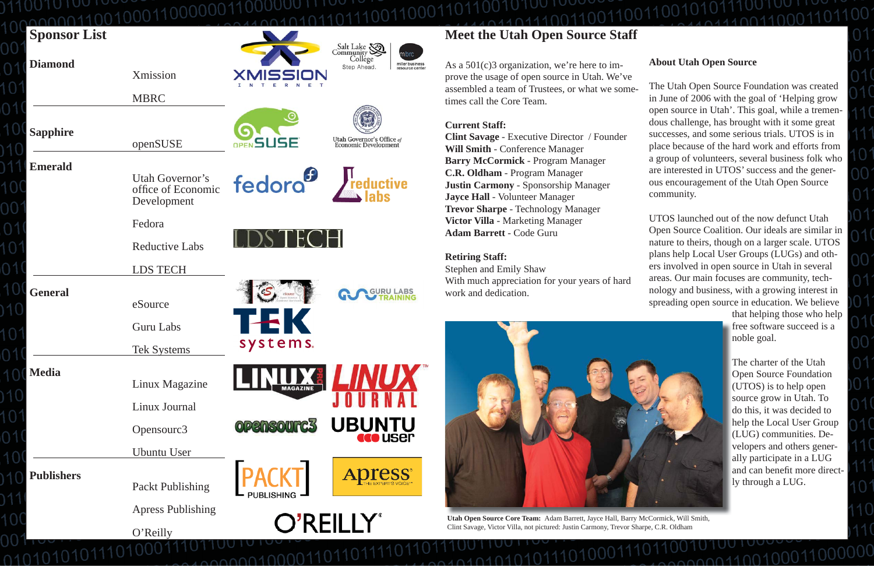| <b>Sponsor List</b> |                                                      |                                      | Salt Lake                                                            |
|---------------------|------------------------------------------------------|--------------------------------------|----------------------------------------------------------------------|
| <b>Diamond</b>      | Xmission                                             |                                      | mbrc<br>Collége<br>miller business<br>Step Ahead.<br>resource center |
|                     | <b>MBRC</b>                                          |                                      |                                                                      |
| <b>Sapphire</b>     | openSUSE                                             | OPEN <b>SUSE</b>                     | Utah Governor's Office of<br>Economic Development                    |
| <b>Emerald</b>      | Utah Governor's<br>office of Economic<br>Development | fedora <sup>6</sup> <i>Feductive</i> |                                                                      |
|                     | Fedora                                               |                                      |                                                                      |
|                     | <b>Reductive Labs</b>                                |                                      |                                                                      |
|                     | <b>LDS TECH</b>                                      |                                      |                                                                      |
| <b>General</b>      | eSource                                              |                                      |                                                                      |
|                     | <b>Guru Labs</b>                                     | $\overline{\phantom{0}}$             |                                                                      |
|                     | <b>Tek Systems</b>                                   | systems.                             |                                                                      |
| <b>Media</b>        | Linux Magazine                                       |                                      |                                                                      |
|                     | Linux Journal                                        |                                      |                                                                      |
|                     | Opensourc3                                           | <b>OPENSOUTC3</b>                    | <b>UBUNTU</b>                                                        |
|                     | Ubuntu User                                          |                                      |                                                                      |
| <b>Publishers</b>   | <b>Packt Publishing</b>                              | <b>PACKT</b>                         |                                                                      |
|                     | <b>Apress Publishing</b>                             | O'REILLY®                            |                                                                      |
|                     | O'Reilly                                             |                                      |                                                                      |

0000010000110

# **Act the Utah Open Source Staff**

 $01(c)3$  organization, we're here to imthe usage of open source in Utah. We've bled a team of Trustees, or what we sometimes call the Core Team.

en and Emily Shaw nuch appreciation for your years of hard work and dedication.



pen Source Core Team: Adam Barrett, Jayce Hall, Barry McCormick, Will Smith, vage, Victor Villa, not pictured: Justin Carmony, Trevor Sharpe, C.R. Oldham

### **Current Staff:**

Savage - Executive Director / Founder **Mith** - Conference Manager **McCormick** - Program Manager **Didham** - Program Manager **Carmony** - Sponsorship Manager **Hall** - Volunteer Manager **r Sharpe** - Technology Manager **Villa** - Marketing Manager **Barrett** - Code Guru

### **ng Staff:**

### **About Utah Open Source**

The Utah Open Source Foundation was created in June of 2006 with the goal of 'Helping grow open source in Utah'. This goal, while a tremendous challenge, has brought with it some great successes, and some serious trials. UTOS is in place because of the hard work and efforts from a group of volunteers, several business folk who are interested in UTOS' success and the generous encouragement of the Utah Open Source community.

UTOS launched out of the now defunct Utah Open Source Coalition. Our ideals are similar in nature to theirs, though on a larger scale. UTOS plans help Local User Groups (LUGs) and others involved in open source in Utah in several areas. Our main focuses are community, technology and business, with a growing interest in spreading open source in education. We believe

 $00000011001000$ 

that helping those who help free software succeed is a noble goal.

The charter of the Utah Open Source Foundation (UTOS) is to help open source grow in Utah. To do this, it was decided to help the Local User Group (LUG) communities. Developers and others generally participate in a LUG and can bene fi t more directly through a LUG.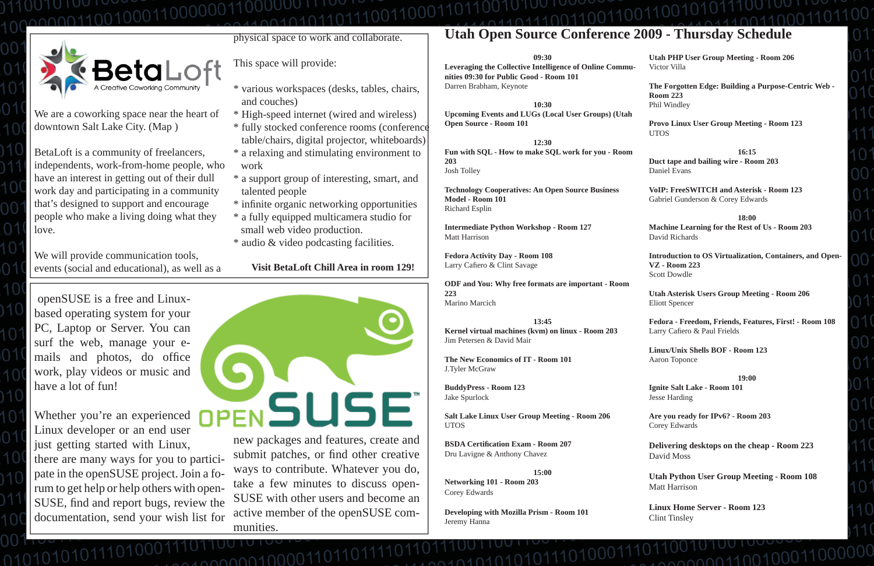# **Utah Open Source Conference 2009 - Thursday Schedule**

**09:30**

**Leveraging the Collective Intelligence of Online Communities 09:30 for Public Good - Room 101** Darren Brabham, Keynote

**10:30 Upcoming Events and LUGs (Local User Groups) (Utah Open Source - Room 101**

**Fedora Activity Day - Room 108** Larry Cafiero & Clint Savage

**12:30Fun with SQL - How to make SQL work for you - Room 203**Josh Tolley

**Technology Cooperatives: An Open Source Business Model - Room 101** Richard Esplin

**Intermediate Python Workshop - Room 127** Matt Harrison

**ODF and You: Why free formats are important - Room 223**Marino Marcich

#### **13:45**

**Kernel virtual machines (kvm) on linux - Room 203** Jim Petersen & David Mair

**The New Economics of IT - Room 101** J.Tyler McGraw

**BuddyPress - Room 123** Jake Spurlock

**Fedora - Freedom, Friends, Features, First! - Room 108** Larry Cafiero & Paul Frields

**Salt Lake Linux User Group Meeting - Room 206** UTOS

**BSDA Certi fi cation Exam - Room 207**Dru Lavigne & Anthony Chavez

**15:00Networking 101 - Room 203** Corey Edwards

**Developing with Mozilla Prism - Room 101** Jeremy Hanna

 $1010101011101$ 

**Utah PHP User Group Meeting - Room 206** Victor Villa

**The Forgotten Edge: Building a Purpose-Centric Web - Room 223**Phil Windley

**Provo Linux User Group Meeting - Room 123** UTOS

**16:15Duct tape and bailing wire - Room 203** Daniel Evans

**VoIP: FreeSWITCH and Asterisk - Room 123**Gabriel Gunderson & Corey Edwards

**18:00**

submit patches, or find other creative ways to contribute. Whatever you do, take a few minutes to discuss open-SUSE with other users and become an active member of the openSUSE communities.

00000100001101

**Machine Learning for the Rest of Us - Room 203** David Richards

**Introduction to OS Virtualization, Containers, and Open-VZ - Room 223**Scott Dowdle

**Utah Asterisk Users Group Meeting - Room 206** Eliott Spencer

**Linux/Unix Shells BOF - Room 123** Aaron Toponce

**19:00**

**Ignite Salt Lake - Room 101** Jesse Harding

**Are you ready for IPv6? - Room 203** Corey Edwards

**Delivering desktops on the cheap - Room 223** David Moss

**Utah Python User Group Meeting - Room 108** Matt Harrison

conn110010001

**Linux Home Server - Room 123** Clint Tinsley

 openSUSE is a free and Linuxbased operating system for your PC, Laptop or Server. You can surf the web, manage your emails and photos, do office work, play videos or music and have a lot of fun!

Whether you're an experienced Linux developer or an end user just getting started with Linux, there are many ways for you to participate in the openSUSE project. Join a forum to get help or help others with open-SUSE, find and report bugs, review the documentation, send your wish list for

0101010101



101001000000110000000110000 1100101000011001100



We are a coworking space near the heart of downtown Salt Lake City. (Map )

BetaLoft is a community of freelancers, independents, work-from-home people, who have an interest in getting out of their dull work day and participating in a community that's designed to support and encourage people who make a living doing what they love.

We will provide communication tools, events (social and educational), as well as a physical space to work and collaborate.

This space will provide:

- \* various workspaces (desks, tables, chairs, and couches)
- \* High-speed internet (wired and wireless)
- \* fully stocked conference rooms (conference table/chairs, digital projector, whiteboards)
- \* a relaxing and stimulating environment to work
- \* a support group of interesting, smart, and talented people
- \* in fi nite organic networking opportunities
- \* a fully equipped multicamera studio for small web video production.
- \* audio & video podcasting facilities.

#### **Visit BetaLoft Chill Area in room 129!**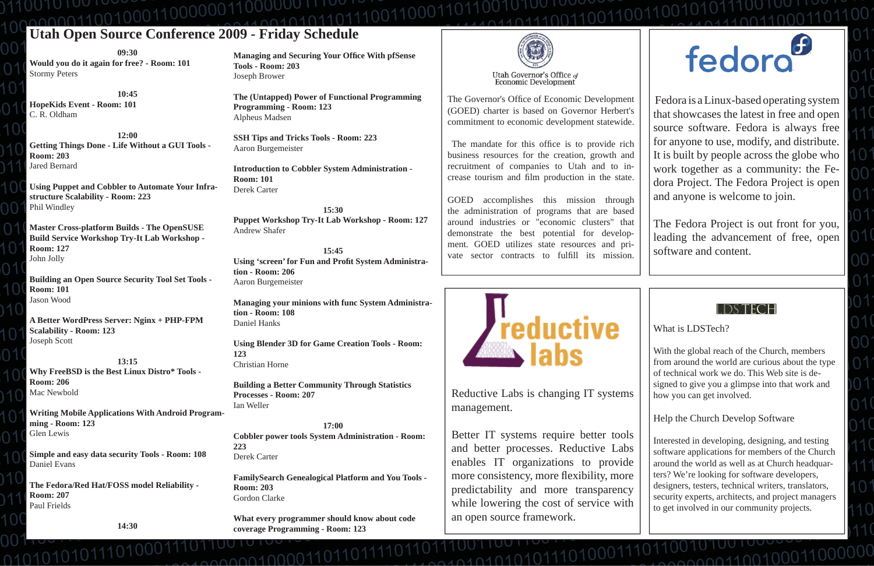# **Utah Open Source Conference 2009 - Friday Schedule** 11001010010010011001100

**09:30Would you do it again for free? - Room: 101** Stormy Peters

**10:45HopeKids Event - Room: 101** C. R. Oldham

**12:00Getting Things Done - Life Without a GUI Tools - Room: 203** Jared Bernard

**Using Puppet and Cobbler to Automate Your Infrastructure Scalability - Room: 223** Phil Windley

**Master Cross-platform Builds - The OpenSUSE Build Service Workshop Try-It Lab Workshop - Room: 127** John Jolly

**Building an Open Source Security Tool Set Tools - Room: 101** Jason Wood

**Managing and Securing Your Office With pfSense Tools - Room: 203**Joseph Brower

**A Better WordPress Server: Nginx + PHP-FPM Scalability - Room: 123** Joseph Scott

**13:15Why FreeBSD is the Best Linux Distro\* Tools - Room: 206**Mac Newbold

**Writing Mobile Applications With Android Programming - Room: 123** Glen Lewis

**Simple and easy data security Tools - Room: 108** Daniel Evans

**The Fedora/Red Hat/FOSS model Reliability - Room: 207** Paul Frields

01010101011

**14:30**

The Governor's Office of Economic Development (GOED) charter is based on Governor Herbert's commitment to economic development statewide.

The mandate for this office is to provide rich business resources for the creation, growth and recruitment of companies to Utah and to increase tourism and film production in the state.

**The (Untapped) Power of Functional Programming Programming - Room: 123** Alpheus Madsen

> GOED accomplishes this mission through the administration of programs that are based around industries or "economic clusters" that demonstrate the best potential for development. GOED utilizes state resources and private sector contracts to fulfill its mission.



**SSH Tips and Tricks Tools - Room: 223** Aaron Burgemeister

**Introduction to Cobbler System Administration - Room: 101**Derek Carter

**15:30Puppet Workshop Try-It Lab Workshop - Room: 127** Andrew Shafer

**15:45**Using 'screen' for Fun and Profit System Administra**tion - Room: 206**Aaron Burgemeister

**Managing your minions with func System Administration - Room: 108**Daniel Hanks

**Using Blender 3D for Game Creation Tools - Room: 123**Christian Horne

**Building a Better Community Through Statistics Processes - Room: 207** Ian Weller

**17:00Cobbler power tools System Administration - Room: 223**Derek Carter

**FamilySearch Genealogical Platform and You Tools - Room: 203**Gordon Clarke

**What every programmer should know about code coverage Programming - Room: 123**

 $0.0000100001101107$ 



 Fedora is a Linux-based operating system that showcases the latest in free and open source software. Fedora is always free for anyone to use, modify, and distribute. It is built by people across the globe who work together as a community: the Fedora Project. The Fedora Project is open and anyone is welcome to join.

The Fedora Project is out front for you, leading the advancement of free, open software and content.



Reductive Labs is changing IT systems management.

Better IT systems require better tools and better processes. Reductive Labs enables IT organizations to provide more consistency, more flexibility, more predictability and more transparency while lowering the cost of service with an open source framework.

04010101010111010001

# fedora<sup>6</sup>

What is LDSTech?

With the global reach of the Church, members from around the world are curious about the type of technical work we do. This Web site is designed to give you a glimpse into that work and how you can get involved.

Help the Church Develop Software

Interested in developing, designing, and testing software applications for members of the Church around the world as well as at Church headquarters? We're looking for software developers, designers, testers, technical writers, translators, security experts, architects, and project managers to get involved in our community projects.

001010-0110010001100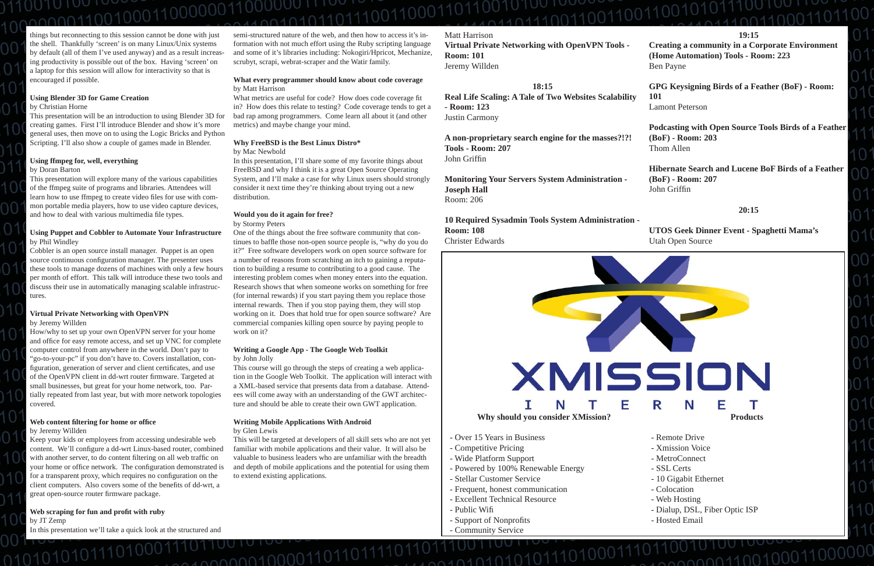Matt Harrison**Virtual Private Networking with OpenVPN Tools - Room: 101**Jeremy Willden

**A non-proprietary search engine for the masses?!?! Tools - Room: 207**John Griffin

#### **18:15**

**Real Life Scaling: A Tale of Two Websites Scalability - Room: 123**Justin Carmony

**Monitoring Your Servers System Administration - Joseph Hall** Room: 206

**Hibernate Search and Lucene BoF Birds of a Feather (BoF) - Room: 207** John Griffin

**10 Required Sysadmin Tools System Administration - Room: 108** Christer Edwards

**19:15**

**Creating a community in a Corporate Environment (Home Automation) Tools - Room: 223** Ben Payne

**GPG Keysigning Birds of a Feather (BoF) - Room: 101**Lamont Peterson

**Podcasting with Open Source Tools Birds of a Feather (BoF) - Room: 203** Thom Allen

#### **20:15**

**UTOS Geek Dinner Event - Spaghetti Mama's** Utah Open Source

- Over 15 Years in Business
- Competitive Pricing
- Wide Platform Support
- Powered by 100% Renewable Energy

 $100, 100$ 



This presentation will explore many of the various capabilities of the ffmpeg suite of programs and libraries. Attendees will learn how to use ffmpeg to create video files for use with common portable media players, how to use video capture devices, and how to deal with various multimedia file types.

- Stellar Customer Service
- Frequent, honest communication
- Excellent Technical Resource
- Public Wi fi
- Support of Nonprofits
- Community Service

- Remote Drive
- Xmission Voice
- MetroConnect
- SSL Certs
- 10 Gigabit Ethernet
- Colocation
- Web Hosting
- Dialup, DSL, Fiber Optic ISP

00000110010001

- Hosted Email

 $0.001100100011000$ 

things but reconnecting to this session cannot be done with just the shell. Thankfully 'screen' is on many Linux/Unix systems by default (all of them I've used anyway) and as a result increasing productivity is possible out of the box. Having 'screen' on a laptop for this session will allow for interactivity so that is encouraged if possible.

#### **Using Blender 3D for Game Creation**

Keep your kids or employees from accessing undesirable web content. We'll configure a dd-wrt Linux-based router, combined with another server, to do content filtering on all web traffic on your home or office network. The configuration demonstrated is for a transparent proxy, which requires no configuration on the client computers. Also covers some of the benefits of dd-wrt, a great open-source router firmware package.

#### by Christian Horne

This presentation will be an introduction to using Blender 3D for creating games. First I'll introduce Blender and show it's more general uses, then move on to using the Logic Bricks and Python Scripting. I'll also show a couple of games made in Blender.

#### **Using ffmpeg for, well, everything**

#### by Doran Barton

What metrics are useful for code? How does code coverage fit in? How does this relate to testing? Code coverage tends to get a bad rap among programmers. Come learn all about it (and other metrics) and maybe change your mind.

#### **Using Puppet and Cobbler to Automate Your Infrastructure** by Phil Windley

Cobbler is an open source install manager. Puppet is an open source continuous configuration manager. The presenter uses these tools to manage dozens of machines with only a few hours per month of effort. This talk will introduce these two tools and discuss their use in automatically managing scalable infrastructures.

#### **Virtual Private Networking with OpenVPN**

by Jeremy Willden

How/why to set up your own OpenVPN server for your home and office for easy remote access, and set up VNC for complete computer control from anywhere in the world. Don't pay to "go-to-your-pc" if you don't have to. Covers installation, configuration, generation of server and client certificates, and use of the OpenVPN client in dd-wrt router firmware. Targeted at small businesses, but great for your home network, too. Partially repeated from last year, but with more network topologies covered.

#### **Web content fi ltering for home or offi ce**

by Jeremy Willden

10101010111

#### **Web scraping for fun and pro fi t with ruby** by JT Zemp

In this presentation we'll take a quick look at the structured and

semi-structured nature of the web, and then how to access it's information with not much effort using the Ruby scripting language and some of it's libraries including: Nokogiri/Hpricot, Mechanize, scrubyt, scrapi, webrat-scraper and the Watir family.

#### **What every programmer should know about code coverage** by Matt Harrison

#### **Why FreeBSD is the Best Linux Distro\***

#### by Mac Newbold

In this presentation, I'll share some of my favorite things about FreeBSD and why I think it is a great Open Source Operating System, and I'll make a case for why Linux users should strongly consider it next time they're thinking about trying out a new distribution.

#### **Would you do it again for free?**

by Stormy Peters

One of the things about the free software community that continues to baffle those non-open source people is, "why do you do it?" Free software developers work on open source software for a number of reasons from scratching an itch to gaining a reputation to building a resume to contributing to a good cause. The interesting problem comes when money enters into the equation. Research shows that when someone works on something for free (for internal rewards) if you start paying them you replace those internal rewards. Then if you stop paying them, they will stop working on it. Does that hold true for open source software? Are commercial companies killing open source by paying people to work on it?

#### **Writing a Google App - The Google Web Toolkit** by John Jolly

This course will go through the steps of creating a web application in the Google Web Toolkit. The application will interact with a XML-based service that presents data from a database. Attendees will come away with an understanding of the GWT architecture and should be able to create their own GWT application.

#### **Writing Mobile Applications With Android** by Glen Lewis

100000100001101

This will be targeted at developers of all skill sets who are not yet familiar with mobile applications and their value. It will also be valuable to business leaders who are unfamiliar with the breadth and depth of mobile applications and the potential for using them to extend existing applications.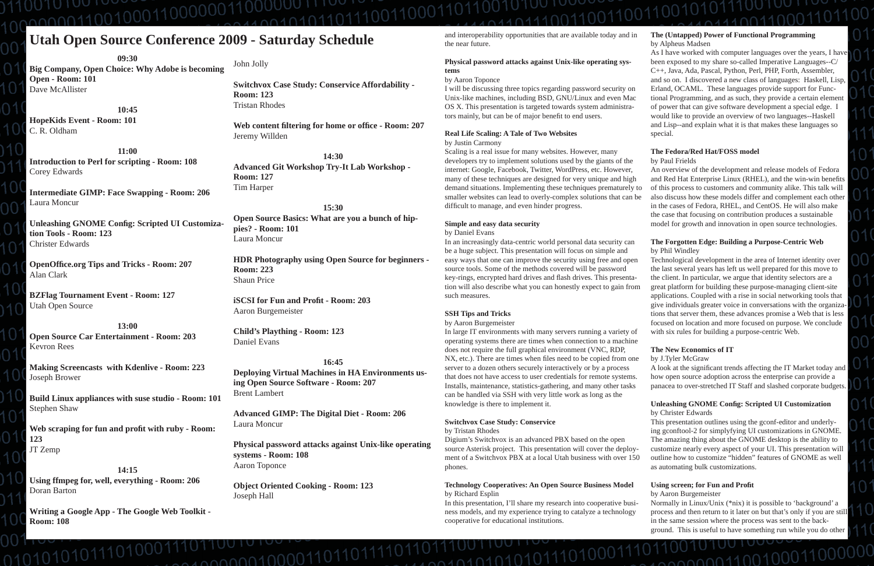# 010100100000110000001100000

# **Utah Open Source Conference 2009 - Saturday Schedule**

**09:30**

**Big Company, Open Choice: Why Adobe is becoming Open - Room: 101** Dave McAllister

**10:45HopeKids Event - Room: 101** C. R. Oldham

**11:00Introduction to Perl for scripting - Room: 108** Corey Edwards

**Intermediate GIMP: Face Swapping - Room: 206** Laura Moncur

**Unleashing GNOME Con fi g: Scripted UI Customization Tools - Room: 123**Christer Edwards

**OpenOffi ce.org Tips and Tricks - Room: 207** Alan Clark

**BZFlag Tournament Event - Room: 127** Utah Open Source

**13:00Open Source Car Entertainment - Room: 203** Kevron Rees

**Making Screencasts with Kdenlive - Room: 223** Joseph Brower

**Build Linux appliances with suse studio - Room: 101** Stephen Shaw

**Web scraping for fun and pro fi t with ruby - Room: 123**JT Zemp

#### **14:15Using ffmpeg for, well, everything - Room: 206** Doran Barton

**Writing a Google App - The Google Web Toolkit - Room: 108**

01010101011101

John Jolly

I will be discussing three topics regarding password security on Unix-like machines, including BSD, GNU/Linux and even Mac OS X. This presentation is targeted towards system administrators mainly, but can be of major benefit to end users.

**Switchvox Case Study: Conservice Affordability - Room: 123**Tristan Rhodes

**Web content fi ltering for home or offi ce - Room: 207** Jeremy Willden

> Scaling is a real issue for many websites. However, many developers try to implement solutions used by the giants of the internet: Google, Facebook, Twitter, WordPress, etc. However, many of these techniques are designed for very unique and high demand situations. Implementing these techniques prematurely to smaller websites can lead to overly-complex solutions that can be difficult to manage, and even hinder progress.

**14:30Advanced Git Workshop Try-It Lab Workshop - Room: 127** Tim Harper

**15:30Open Source Basics: What are you a bunch of hippies? - Room: 101** Laura Moncur

**HDR Photography using Open Source for beginners - Room: 223**Shaun Price

**iSCSI for Fun and Profi t - Room: 203**Aaron Burgemeister

**Child's Plaything - Room: 123** Daniel Evans

#### **16:45**

**Deploying Virtual Machines in HA Environments using Open Source Software - Room: 207** Brent Lambert

**Advanced GIMP: The Digital Diet - Room: 206** Laura Moncur

**Physical password attacks against Unix-like operating systems - Room: 108** Aaron Toponce

**Object Oriented Cooking - Room: 123** Joseph Hall

1011001020000110110111

and interoperability opportunities that are available today and in the near future.

#### **Physical password attacks against Unix-like operating systems**

#### by Aaron Toponce

#### **Real Life Scaling: A Tale of Two Websites**

by Justin Carmony

### **Simple and easy data security**

by Daniel Evans

In an increasingly data-centric world personal data security can be a huge subject. This presentation will focus on simple and easy ways that one can improve the security using free and open source tools. Some of the methods covered will be password key-rings, encrypted hard drives and flash drives. This presentation will also describe what you can honestly expect to gain from such measures.

#### **SSH Tips and Tricks**

by Aaron Burgemeister

#### **Switchvox Case Study: Conservice**

 $0.11102$   $0.10101011101$ 

by Tristan Rhodes

Digium's Switchvox is an advanced PBX based on the open source Asterisk project. This presentation will cover the deployment of a Switchvox PBX at a local Utah business with over 150 phones.

#### **Technology Cooperatives: An Open Source Business Model** by Richard Esplin

In this presentation, I'll share my research into cooperative business models, and my experience trying to catalyze a technology cooperative for educational institutions.

#### **The (Untapped) Power of Functional Programming** by Alpheus Madsen

As I have worked with computer languages over the years, I have been exposed to my share so-called Imperative Languages--C/ C++, Java, Ada, Pascal, Python, Perl, PHP, Forth, Assembler, and so on. I discovered a new class of languages: Haskell, Lisp, Erland, OCAML. These languages provide support for Functional Programming, and as such, they provide a certain element of power that can give software development a special edge. I would like to provide an overview of two languages--Haskell and Lisp--and explain what it is that makes these languages so special.

In large IT environments with many servers running a variety of operating systems there are times when connection to a machine does not require the full graphical environment (VNC, RDP, NX, etc.). There are times when files need to be copied from one server to a dozen others securely interactively or by a process that does not have access to user credentials for remote systems. Installs, maintenance, statistics-gathering, and many other tasks can be handled via SSH with very little work as long as the knowledge is there to implement it. with six rules for building a purpose-centric Web. **The New Economics of IT** by J.Tyler McGraw A look at the significant trends affecting the IT Market today and how open source adoption across the enterprise can provide a panacea to over-stretched IT Staff and slashed corporate budgets. **Unleashing GNOME Con fi g: Scripted UI Customization**

#### **The Fedora/Red Hat/FOSS model**

#### by Paul Frields

An overview of the development and release models of Fedora and Red Hat Enterprise Linux (RHEL), and the win-win benefits of this process to customers and community alike. This talk will also discuss how these models differ and complement each other in the cases of Fedora, RHEL, and CentOS. He will also make the case that focusing on contribution produces a sustainable model for growth and innovation in open source technologies.

#### **The Forgotten Edge: Building a Purpose-Centric Web** by Phil Windley

Technological development in the area of Internet identity over the last several years has left us well prepared for this move to the client. In particular, we argue that identity selectors are a great platform for building these purpose-managing client-site applications. Coupled with a rise in social networking tools that give individuals greater voice in conversations with the organizations that server them, these advances promise a Web that is less focused on location and more focused on purpose. We conclude

# by Christer Edwards

This presentation outlines using the gconf-editor and underlying gconftool-2 for simplyfying UI customizations in GNOME. The amazing thing about the GNOME desktop is the ability to customize nearly every aspect of your UI. This presentation will outline how to customize "hidden" features of GNOME as well as automating bulk customizations.

#### **Using screen; for Fun and Pro fi t**

#### by Aaron Burgemeister

Normally in Linux/Unix (\*nix) it is possible to 'background' a process and then return to it later on but that's only if you are still in the same session where the process was sent to the background. This is useful to have something run while you do other

conn00110010001100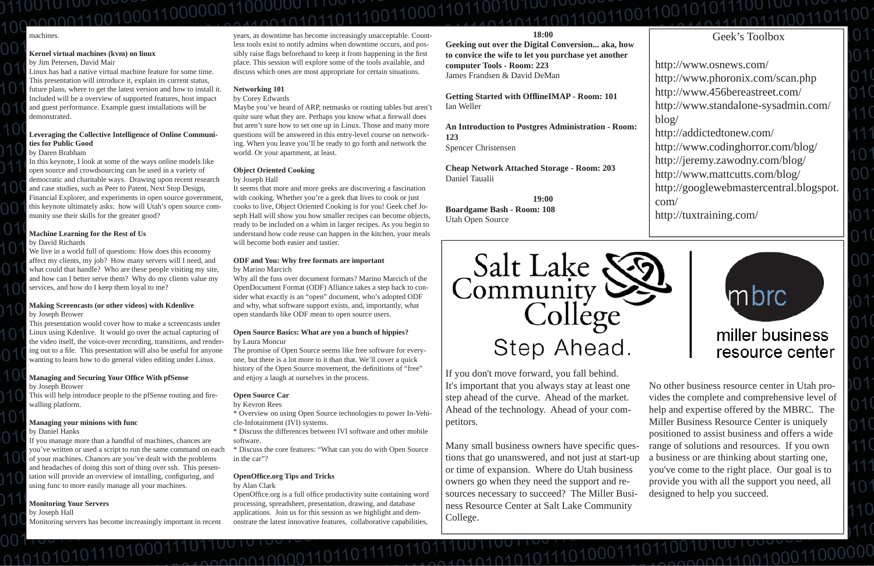#### **18:00**

**Geeking out over the Digital Conversion... aka, how to convice the wife to let you purchase yet another computer Tools - Room: 223** James Frandsen & David DeMan

**Getting Started with Offl ineIMAP - Room: 101** Ian Weller

**An Introduction to Postgres Administration - Room: 123**Spencer Christensen

**Cheap Network Attached Storage - Room: 203** Daniel Taualii

**19:00Boardgame Bash - Room: 108** Utah Open Source



Many small business owners have specific questions that go unanswered, and not just at start-up or time of expansion. Where do Utah business owners go when they need the support and resources necessary to succeed? The Miller Business Resource Center at Salt Lake Community College.

01001101010111010001

If you don't move forward, you fall behind. It's important that you always stay at least one step ahead of the curve. Ahead of the market. Ahead of the technology. Ahead of your competitors.

No other business resource center in Utah provides the complete and comprehensive level of help and expertise offered by the MBRC. The Miller Business Resource Center is uniquely positioned to assist business and offers a wide range of solutions and resources. If you own a business or are thinking about starting one, you've come to the right place. Our goal is to provide you with all the support you need, all designed to help you succeed.

 $20010011001000$ 

# 10100100000000110000001

#### machines.

#### **Kernel virtual machines (kvm) on linux** by Jim Petersen, David Mair

#### **Managing and Securing Your Office With pfSense** by Joseph Brower

This will help introduce people to the pfSense routing and firewalling platform.

Linux has had a native virtual machine feature for some time. This presentation will introduce it, explain its current status, future plans, where to get the latest version and how to install it. Included will be a overview of supported features, host impact and guest performance. Example guest installations will be demonstrated.

#### **Leveraging the Collective Intelligence of Online Communities for Public Good**

by Daren Brabham

In this keynote, I look at some of the ways online models like open source and crowdsourcing can be used in a variety of democratic and charitable ways. Drawing upon recent research and case studies, such as Peer to Patent, Next Stop Design, Financial Explorer, and experiments in open source government, this keynote ultimately asks: how will Utah's open source community use their skills for the greater good?

### **Machine Learning for the Rest of Us**

by David Richards

We live in a world full of questions: How does this economy affect my clients, my job? How many servers will I need, and what could that handle? Who are these people visiting my site, and how can I better serve them? Why do my clients value my services, and how do I keep them loyal to me?

### **Making Screencasts (or other videos) with Kdenlive**

by Joseph Brower

This presentation would cover how to make a screencasts under Linux using Kdenlive. It would go over the actual capturing of the video itself, the voice-over recording, transitions, and rendering out to a file. This presentation will also be useful for anyone wanting to learn how to do general video editing under Linux.

> \* Discuss the core features: "What can you do with Open Source in the car"?

OpenOffice.org is a full office productivity suite containing word processing, spreadsheet, presentation, drawing, and database applications. Join us for this session as we highlight and demonstrate the latest innovative features, collaborative capabilities,

#### **Managing your minions with func**

by Daniel Hanks

If you manage more than a handful of machines, chances are you've written or used a script to run the same command on each of your machines. Chances are you've dealt with the problems and headaches of doing this sort of thing over ssh. This presentation will provide an overview of installing, configuring, and using func to more easily manage all your machines.

#### **Monitoring Your Servers**

by Joseph Hall

010101010111

Monitoring servers has become increasingly important in recent

years, as downtime has become increasingly unacceptable. Countless tools exist to notify admins when downtime occurs, and possibly raise flags beforehand to keep it from happening in the first place. This session will explore some of the tools available, and discuss which ones are most appropriate for certain situations.

#### **Networking 101**

by Corey Edwards

Maybe you've heard of ARP, netmasks or routing tables but aren't quite sure what they are. Perhaps you know what a firewall does but aren't sure how to set one up in Linux. Those and many more questions will be answered in this entry-level course on networking. When you leave you'll be ready to go forth and network the world. Or your apartment, at least.

#### **Object Oriented Cooking**

#### by Joseph Hall

It seems that more and more geeks are discovering a fascination with cooking. Whether you're a geek that lives to cook or just cooks to live, Object Oriented Cooking is for you! Geek chef Joseph Hall will show you how smaller recipes can become objects, ready to be included on a whim in larger recipes. As you begin to understand how code reuse can happen in the kitchen, your meals will become both easier and tastier.

#### **ODF and You: Why free formats are important** by Marino Marcich

Why all the fuss over document formats? Marino Marcich of the OpenDocument Format (ODF) Alliance takes a step back to consider what exactly is an "open" document, who's adopted ODF and why, what software support exists, and, importantly, what open standards like ODF mean to open source users.

#### **Open Source Basics: What are you a bunch of hippies?** by Laura Moncur

The promise of Open Source seems like free software for everyone, but there is a lot more to it than that. We'll cover a quick history of the Open Source movement, the definitions of "free" and enjoy a laugh at ourselves in the process.

#### **Open Source Car**

by Kevron Rees

\* Overview on using Open Source technologies to power In-Vehicle-Infotainment (IVI) systems.

\* Discuss the differences between IVI software and other mobile software.

#### **OpenOffi ce.org Tips and Tricks**

000001000011011

by Alan Clark

## Geek's Toolbox

http://www.osnews.com/ http://www.phoronix.com/scan.php http://www.456bereastreet.com/ http://www.standalone-sysadmin.com/ blog/ http://addictedtonew.com/ http://www.codinghorror.com/blog/ http://jeremy.zawodny.com/blog/ http://www.mattcutts.com/blog/ http://googlewebmastercentral.blogspot. com/

http://tuxtraining.com/

# miller business resource center

mbrc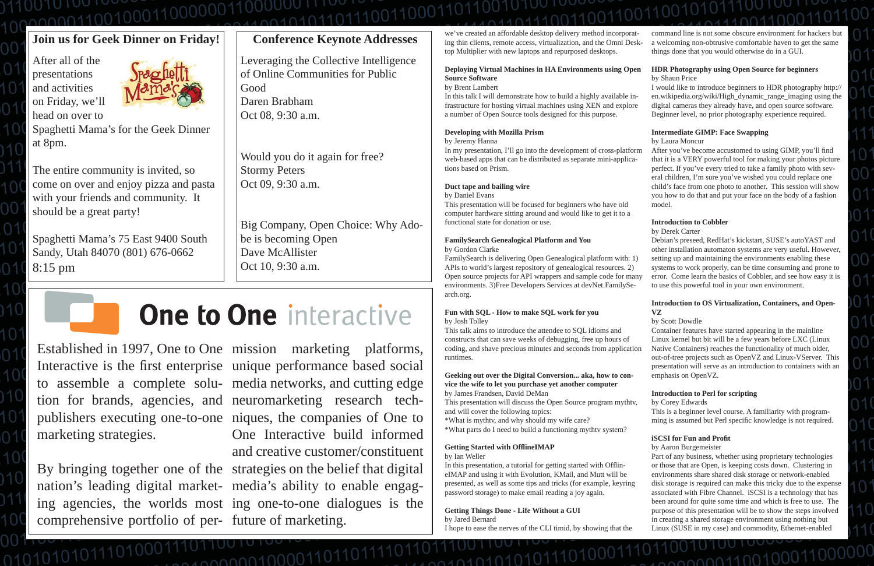we've created an affordable desktop delivery method incorporating thin clients, remote access, virtualization, and the Omni Desktop Multiplier with new laptops and repurposed desktops.

#### **Deploying Virtual Machines in HA Environments using Open Source Software** by Brent Lambert

In this talk I will demonstrate how to build a highly available infrastructure for hosting virtual machines using XEN and explore a number of Open Source tools designed for this purpose.

#### **Developing with Mozilla Prism**

by Jeremy Hanna

In my presentation, I'll go into the development of cross-platform web-based apps that can be distributed as separate mini-applications based on Prism.

#### **Duct tape and bailing wire**

by Daniel Evans

This presentation will be focused for beginners who have old computer hardware sitting around and would like to get it to a functional state for donation or use.

#### **FamilySearch Genealogical Platform and You** by Gordon Clarke

In this presentation, a tutorial for getting started with OfflineIMAP and using it with Evolution, KMail, and Mutt will be presented, as well as some tips and tricks (for example, keyring password storage) to make email reading a joy again.

FamilySearch is delivering Open Genealogical platform with: 1) APIs to world's largest repository of genealogical resources. 2) Open source projects for API wrappers and sample code for many environments. 3)Free Developers Services at devNet.FamilySearch.org.

#### **Fun with SQL - How to make SQL work for you** by Josh Tolley

### **vice the wife to let you purchase yet another computer** by James Frandsen, David DeMan

After you've become accustomed to using GIMP, you'll find that it is a VERY powerful tool for making your photos picture perfect. If you've every tried to take a family photo with several children, I'm sure you've wished you could replace one child's face from one photo to another. This session will show you how to do that and put your face on the body of a fashion model.

This presentation will discuss the Open Source program mythtv, and will cover the following topics:

\*What is mythtv, and why should my wife care?

\*What parts do I need to build a functioning mythtv system?

### **Getting Started with Offl ineIMAP**

by Ian Weller

**Getting Things Done - Life Without a GUI** by Jared Bernard I hope to ease the nerves of the CLI timid, by showing that the

101010111 conn010000110110  $0.01010101110$ 

command line is not some obscure environment for hackers but a welcoming non-obtrusive comfortable haven to get the same things done that you would otherwise do in a GUI.

#### **HDR Photography using Open Source for beginners** by Shaun Price

I would like to introduce beginners to HDR photography http:// en.wikipedia.org/wiki/High\_dynamic\_range\_imaging using the digital cameras they already have, and open source software. Beginner level, no prior photography experience required.

This talk aims to introduce the attendee to SQL idioms and constructs that can save weeks of debugging, free up hours of coding, and shave precious minutes and seconds from application runtimes. **Geeking out over the Digital Conversion... aka, how to con-**Container features have started appearing in the mainline Linux kernel but bit will be a few years before LXC (Linux Native Containers) reaches the functionality of much older, out-of-tree projects such as OpenVZ and Linux-VServer. This presentation will serve as an introduction to containers with an emphasis on OpenVZ.

Established in 1997, One to One mission marketing platforms, Interactive is the first enterprise marketing strategies.

comprehensive portfolio of per- future of marketing.

to assemble a complete solu- media networks, and cutting edge tion for brands, agencies, and neuromarketing research techpublishers executing one-to-one niques, the companies of One to By bringing together one of the strategies on the belief that digital publishers executing one-to-one niques, the companies of One to<br>marketing strategies. One Interactive build informed<br>and creative customer/constituent<br>By bringing together one of the strategies on the belief that digital<br>n ing agencies, the worlds most ing one-to-one dialogues is the<br>comprehensive portfolio of per- future of marketing. mission marketing platforms,<br>unique performance based social<br>media networks, and cutting edge<br>neuromarketing research tech-

#### **Intermediate GIMP: Face Swapping**

by Laura Moncur

#### **Introduction to Cobbler**

by Derek Carter

Debian's preseed, RedHat's kickstart, SUSE's autoYAST and other installation automaton systems are very useful. However, setting up and maintaining the environments enabling these systems to work properly, can be time consuming and prone to error. Come learn the basics of Cobbler, and see how easy it is to use this powerful tool in your own environment.

#### **Introduction to OS Virtualization, Containers, and Open-VZ**

#### by Scott Dowdle

#### **Introduction to Perl for scripting**

by Corey Edwards

This is a beginner level course. A familiarity with programming is assumed but Perl speci fi c knowledge is not required.

#### **iSCSI for Fun and Pro fi t**

by Aaron Burgemeister

Part of any business, whether using proprietary technologies or those that are Open, is keeping costs down. Clustering in environments share shared disk storage or network-enabled disk storage is required can make this tricky due to the expense associated with Fibre Channel. iSCSI is a technology that has been around for quite some time and which is free to use. The purpose of this presentation will be to show the steps involved in creating a shared storage environment using nothing but Linux (SUSE in my case) and commodity, Ethernet-enabled

conn110010001

## 010100100000-11000000 00101110111001100

## **Join us for Geek Dinner on Friday!**

After all of the presentations and activities on Friday, we'll head on over to



Spaghetti Mama's for the Geek Dinner at 8pm.

The entire community is invited, so come on over and enjoy pizza and pasta with your friends and community. It should be a great party!

Spaghetti Mama's 75 East 9400 South Sandy, Utah 84070 (801) 676-0662 8:15 pm

## **Conference Keynote Addresses**

Leveraging the Collective Intelligence of Online Communities for Public GoodDaren BrabhamOct 08, 9:30 a.m.

Would you do it again for free? Stormy Peters Oct 09, 9:30 a.m.

Big Company, Open Choice: Why Adobe is becoming Open Dave McAllisterOct 10, 9:30 a.m.

 $\overline{0}$ 

# **One to One interactive**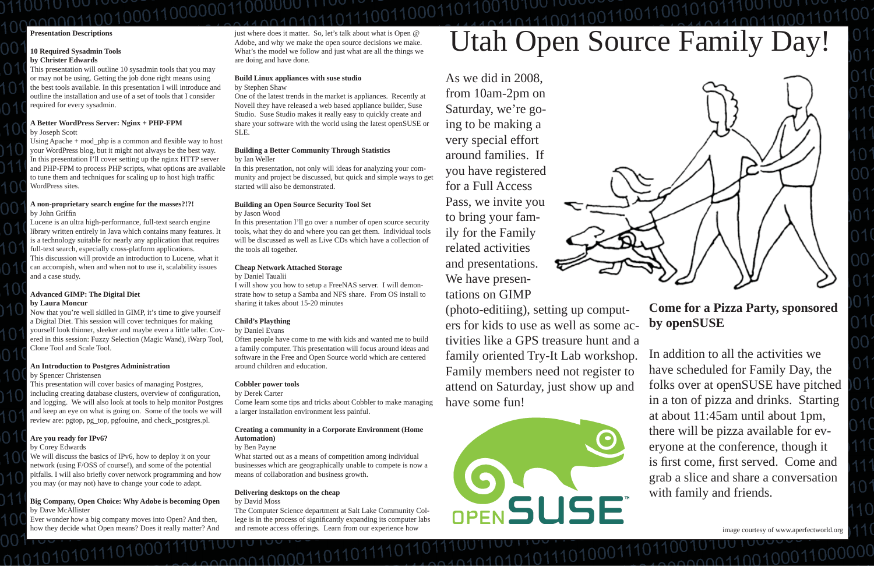#### **Presentation Descriptions**

#### **10 Required Sysadmin Tools by Christer Edwards**

This presentation will outline 10 sysadmin tools that you may or may not be using. Getting the job done right means using the best tools available. In this presentation I will introduce and outline the installation and use of a set of tools that I consider required for every sysadmin.

Using Apache  $+$  mod\_php is a common and flexible way to host your WordPress blog, but it might not always be the best way. In this presentation I'll cover setting up the nginx HTTP server and PHP-FPM to process PHP scripts, what options are available to tune them and techniques for scaling up to host high traffi<sup>c</sup> WordPress sites.

#### **A Better WordPress Server: Nginx + PHP-FPM**

by Joseph Scott

#### **A non-proprietary search engine for the masses?!?!** by John Griffi<sup>n</sup>

Lucene is an ultra high-performance, full-text search engine library written entirely in Java which contains many features. It is a technology suitable for nearly any application that requires full-text search, especially cross-platform applications. This discussion will provide an introduction to Lucene, what it can accompish, when and when not to use it, scalability issues and a case study.

#### **Advanced GIMP: The Digital Diet by Laura Moncur**

Now that you're well skilled in GIMP, it's time to give yourself a Digital Diet. This session will cover techniques for making yourself look thinner, sleeker and maybe even a little taller. Covered in this session: Fuzzy Selection (Magic Wand), iWarp Tool, Clone Tool and Scale Tool.

#### **An Introduction to Postgres Administration**

by Spencer Christensen

This presentation will cover basics of managing Postgres, including creating database clusters, overview of configuration, and logging. We will also look at tools to help monitor Postgres and keep an eye on what is going on. Some of the tools we will review are: pgtop, pg\_top, pgfouine, and check\_postgres.pl.

#### **Are you ready for IPv6?**

#### by Corey Edwards

We will discuss the basics of IPv6, how to deploy it on your network (using F/OSS of course!), and some of the potential pitfalls. I will also brie fl y cover network programming and how you may (or may not) have to change your code to adapt.

#### **Big Company, Open Choice: Why Adobe is becoming Open** by Dave McAllister

Ever wonder how a big company moves into Open? And then, how they decide what Open means? Does it really matter? And just where does it matter. So, let's talk about what is Open @ Adobe, and why we make the open source decisions we make. What's the model we follow and just what are all the things we are doing and have done.

#### **Build Linux appliances with suse studio** by Stephen Shaw

One of the latest trends in the market is appliances. Recently at Novell they have released a web based appliance builder, Suse Studio. Suse Studio makes it really easy to quickly create and share your software with the world using the latest openSUSE or SLE.

#### **Building a Better Community Through Statistics** by Ian Weller

In this presentation, not only will ideas for analyzing your community and project be discussed, but quick and simple ways to get started will also be demonstrated.

#### **Building an Open Source Security Tool Set** by Jason Wood

In this presentation I'll go over a number of open source security tools, what they do and where you can get them. Individual tools will be discussed as well as Live CDs which have a collection of the tools all together.

#### **Cheap Network Attached Storage**

#### by Daniel Taualii

I will show you how to setup a FreeNAS server. I will demonstrate how to setup a Samba and NFS share. From OS install to sharing it takes about 15-20 minutes

#### **Child's Plaything**

by Daniel Evans

Often people have come to me with kids and wanted me to build a family computer. This presentation will focus around ideas and software in the Free and Open Source world which are centered around children and education.

#### **Cobbler power tools**

by Derek Carter

Come learn some tips and tricks about Cobbler to make managing a larger installation environment less painful.

#### **Creating a community in a Corporate Environment (Home Automation)**

#### by Ben Payne

What started out as a means of competition among individual businesses which are geographically unable to compete is now a means of collaboration and business growth.

#### **Delivering desktops on the cheap**

<u>000010000110</u>

by David Moss

The Computer Science department at Salt Lake Community College is in the process of significantly expanding its computer labs and remote access offerings. Learn from our experience how

# Utah Open Source Family Day!

image courtesy of www.aperfectworld.org

nnn110010(

As we did in 2008, from 10am-2pm on Saturday, we're going to be making a very special effort around families. If you have registered for a Full Access Pass, we invite you to bring your family for the Family related activities and presentations. We have presentations on GIMP



(photo-editiing), setting up computers for kids to use as well as some activities like a GPS treasure hunt and a family oriented Try-It Lab workshop. Family members need not register to attend on Saturday, just show up and have some fun!**Come for a Pizza Party, sponsored by openSUSE** In addition to all the activities we have scheduled for Family Day, the folks over at openSUSE have pitched in a ton of pizza and drinks. Starting at about 11:45am until about 1pm, there will be pizza available for everyone at the conference, though it is first come, first served. Come and grab a slice and share a conversation with family and friends.